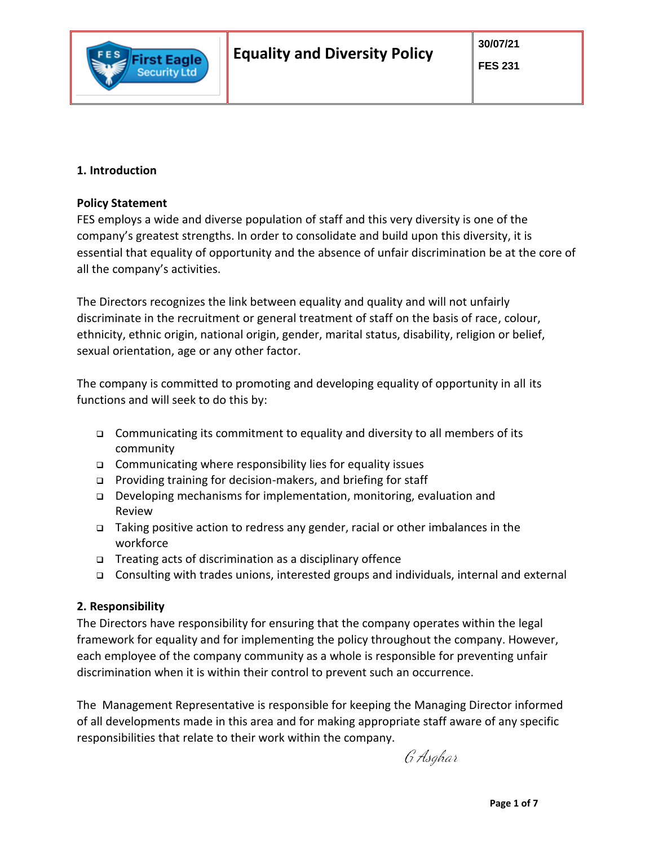# **1. Introduction**

First Eagle **Security Ltd** 

# **Policy Statement**

FES employs a wide and diverse population of staff and this very diversity is one of the company's greatest strengths. In order to consolidate and build upon this diversity, it is essential that equality of opportunity and the absence of unfair discrimination be at the core of all the company's activities.

The Directors recognizes the link between equality and quality and will not unfairly discriminate in the recruitment or general treatment of staff on the basis of race, colour, ethnicity, ethnic origin, national origin, gender, marital status, disability, religion or belief, sexual orientation, age or any other factor.

The company is committed to promoting and developing equality of opportunity in all its functions and will seek to do this by:

- Communicating its commitment to equality and diversity to all members of its community
- □ Communicating where responsibility lies for equality issues
- □ Providing training for decision-makers, and briefing for staff
- □ Developing mechanisms for implementation, monitoring, evaluation and Review
- Taking positive action to redress any gender, racial or other imbalances in the workforce
- □ Treating acts of discrimination as a disciplinary offence
- Consulting with trades unions, interested groups and individuals, internal and external

# **2. Responsibility**

The Directors have responsibility for ensuring that the company operates within the legal framework for equality and for implementing the policy throughout the company. However, each employee of the company community as a whole is responsible for preventing unfair discrimination when it is within their control to prevent such an occurrence.

The Management Representative is responsible for keeping the Managing Director informed of all developments made in this area and for making appropriate staff aware of any specific responsibilities that relate to their work within the company.

G Asghar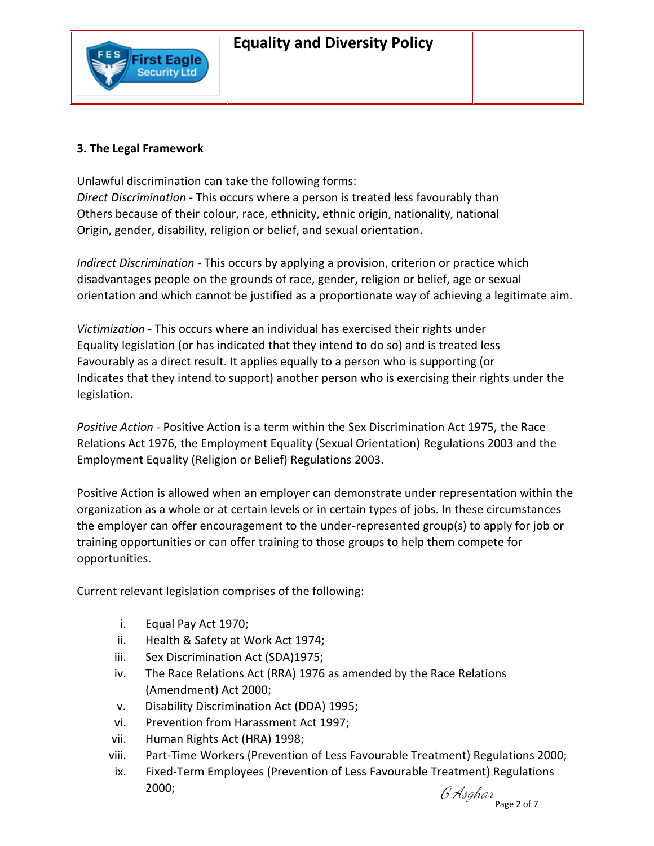

First Eagle **Security Ltd** 

Unlawful discrimination can take the following forms: *Direct Discrimination* - This occurs where a person is treated less favourably than Others because of their colour, race, ethnicity, ethnic origin, nationality, national Origin, gender, disability, religion or belief, and sexual orientation.

*Indirect Discrimination* - This occurs by applying a provision, criterion or practice which disadvantages people on the grounds of race, gender, religion or belief, age or sexual orientation and which cannot be justified as a proportionate way of achieving a legitimate aim.

*Victimization* - This occurs where an individual has exercised their rights under Equality legislation (or has indicated that they intend to do so) and is treated less Favourably as a direct result. It applies equally to a person who is supporting (or Indicates that they intend to support) another person who is exercising their rights under the legislation.

*Positive Action* - Positive Action is a term within the Sex Discrimination Act 1975, the Race Relations Act 1976, the Employment Equality (Sexual Orientation) Regulations 2003 and the Employment Equality (Religion or Belief) Regulations 2003.

Positive Action is allowed when an employer can demonstrate under representation within the organization as a whole or at certain levels or in certain types of jobs. In these circumstances the employer can offer encouragement to the under-represented group(s) to apply for job or training opportunities or can offer training to those groups to help them compete for opportunities.

Current relevant legislation comprises of the following:

- i. Equal Pay Act 1970;
- ii. Health & Safety at Work Act 1974;
- iii. Sex Discrimination Act (SDA)1975;
- iv. The Race Relations Act (RRA) 1976 as amended by the Race Relations (Amendment) Act 2000;
- v. Disability Discrimination Act (DDA) 1995;
- vi. Prevention from Harassment Act 1997;
- vii. Human Rights Act (HRA) 1998;
- viii. Part-Time Workers (Prevention of Less Favourable Treatment) Regulations 2000;
- ix. Fixed-Term Employees (Prevention of Less Favourable Treatment) Regulations 2000;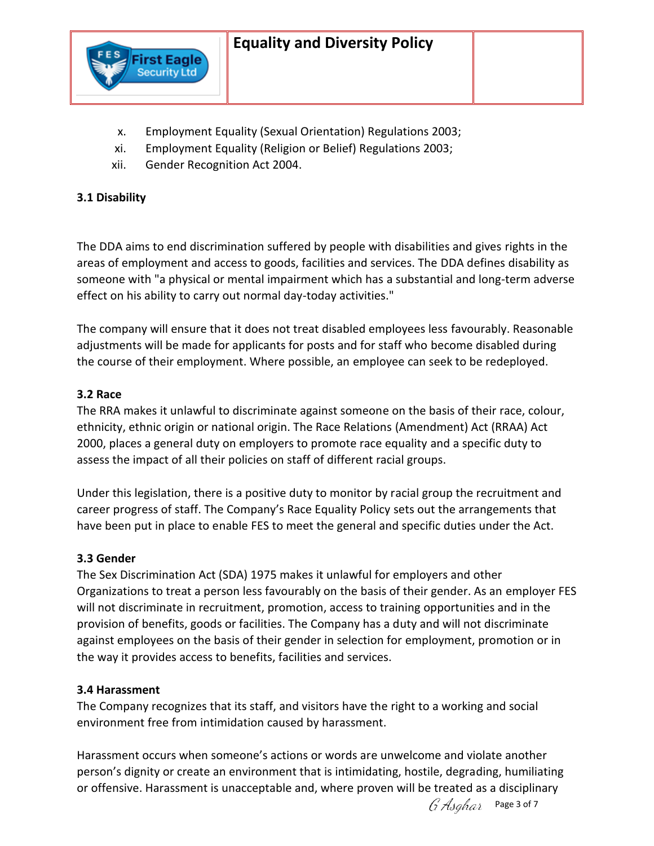

- x. Employment Equality (Sexual Orientation) Regulations 2003;
- xi. Employment Equality (Religion or Belief) Regulations 2003;
- xii. Gender Recognition Act 2004.

First Eagle **Security Ltd** 

## **3.1 Disability**

The DDA aims to end discrimination suffered by people with disabilities and gives rights in the areas of employment and access to goods, facilities and services. The DDA defines disability as someone with "a physical or mental impairment which has a substantial and long-term adverse effect on his ability to carry out normal day-today activities."

The company will ensure that it does not treat disabled employees less favourably. Reasonable adjustments will be made for applicants for posts and for staff who become disabled during the course of their employment. Where possible, an employee can seek to be redeployed.

### **3.2 Race**

The RRA makes it unlawful to discriminate against someone on the basis of their race, colour, ethnicity, ethnic origin or national origin. The Race Relations (Amendment) Act (RRAA) Act 2000, places a general duty on employers to promote race equality and a specific duty to assess the impact of all their policies on staff of different racial groups.

Under this legislation, there is a positive duty to monitor by racial group the recruitment and career progress of staff. The Company's Race Equality Policy sets out the arrangements that have been put in place to enable FES to meet the general and specific duties under the Act.

### **3.3 Gender**

The Sex Discrimination Act (SDA) 1975 makes it unlawful for employers and other Organizations to treat a person less favourably on the basis of their gender. As an employer FES will not discriminate in recruitment, promotion, access to training opportunities and in the provision of benefits, goods or facilities. The Company has a duty and will not discriminate against employees on the basis of their gender in selection for employment, promotion or in the way it provides access to benefits, facilities and services.

### **3.4 Harassment**

The Company recognizes that its staff, and visitors have the right to a working and social environment free from intimidation caused by harassment.

Harassment occurs when someone's actions or words are unwelcome and violate another person's dignity or create an environment that is intimidating, hostile, degrading, humiliating or offensive. Harassment is unacceptable and, where proven will be treated as a disciplinary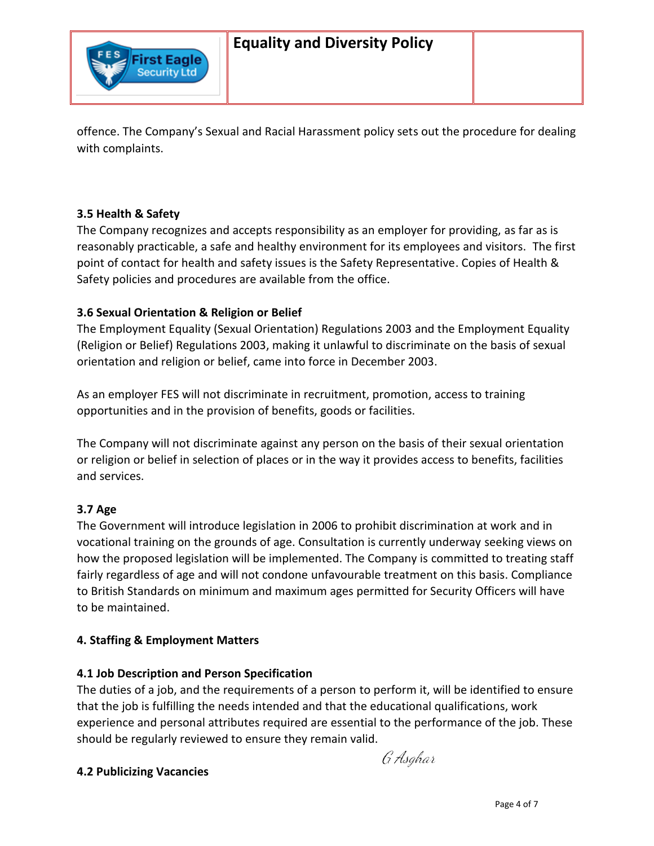

offence. The Company's Sexual and Racial Harassment policy sets out the procedure for dealing with complaints.

# **3.5 Health & Safety**

The Company recognizes and accepts responsibility as an employer for providing, as far as is reasonably practicable, a safe and healthy environment for its employees and visitors. The first point of contact for health and safety issues is the Safety Representative. Copies of Health & Safety policies and procedures are available from the office.

# **3.6 Sexual Orientation & Religion or Belief**

The Employment Equality (Sexual Orientation) Regulations 2003 and the Employment Equality (Religion or Belief) Regulations 2003, making it unlawful to discriminate on the basis of sexual orientation and religion or belief, came into force in December 2003.

As an employer FES will not discriminate in recruitment, promotion, access to training opportunities and in the provision of benefits, goods or facilities.

The Company will not discriminate against any person on the basis of their sexual orientation or religion or belief in selection of places or in the way it provides access to benefits, facilities and services.

# **3.7 Age**

The Government will introduce legislation in 2006 to prohibit discrimination at work and in vocational training on the grounds of age. Consultation is currently underway seeking views on how the proposed legislation will be implemented. The Company is committed to treating staff fairly regardless of age and will not condone unfavourable treatment on this basis. Compliance to British Standards on minimum and maximum ages permitted for Security Officers will have to be maintained.

# **4. Staffing & Employment Matters**

# **4.1 Job Description and Person Specification**

The duties of a job, and the requirements of a person to perform it, will be identified to ensure that the job is fulfilling the needs intended and that the educational qualifications, work experience and personal attributes required are essential to the performance of the job. These should be regularly reviewed to ensure they remain valid.

# **4.2 Publicizing Vacancies**

G Asghar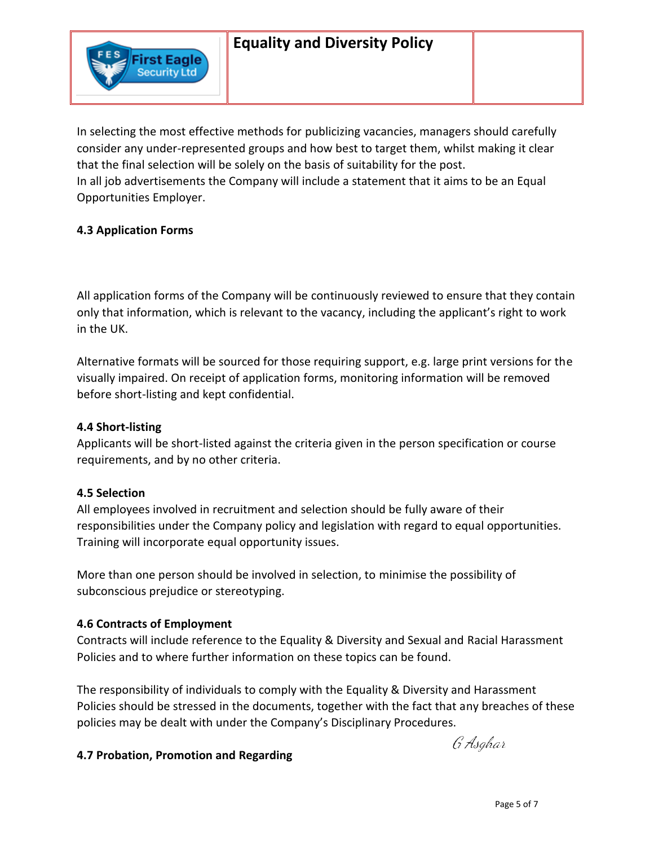In selecting the most effective methods for publicizing vacancies, managers should carefully consider any under-represented groups and how best to target them, whilst making it clear that the final selection will be solely on the basis of suitability for the post. In all job advertisements the Company will include a statement that it aims to be an Equal Opportunities Employer.

## **4.3 Application Forms**

First Eagle **Security Ltd** 

All application forms of the Company will be continuously reviewed to ensure that they contain only that information, which is relevant to the vacancy, including the applicant's right to work in the UK.

Alternative formats will be sourced for those requiring support, e.g. large print versions for the visually impaired. On receipt of application forms, monitoring information will be removed before short-listing and kept confidential.

### **4.4 Short-listing**

Applicants will be short-listed against the criteria given in the person specification or course requirements, and by no other criteria.

### **4.5 Selection**

All employees involved in recruitment and selection should be fully aware of their responsibilities under the Company policy and legislation with regard to equal opportunities. Training will incorporate equal opportunity issues.

More than one person should be involved in selection, to minimise the possibility of subconscious prejudice or stereotyping.

### **4.6 Contracts of Employment**

Contracts will include reference to the Equality & Diversity and Sexual and Racial Harassment Policies and to where further information on these topics can be found.

The responsibility of individuals to comply with the Equality & Diversity and Harassment Policies should be stressed in the documents, together with the fact that any breaches of these policies may be dealt with under the Company's Disciplinary Procedures.

# **4.7 Probation, Promotion and Regarding**

G Asghar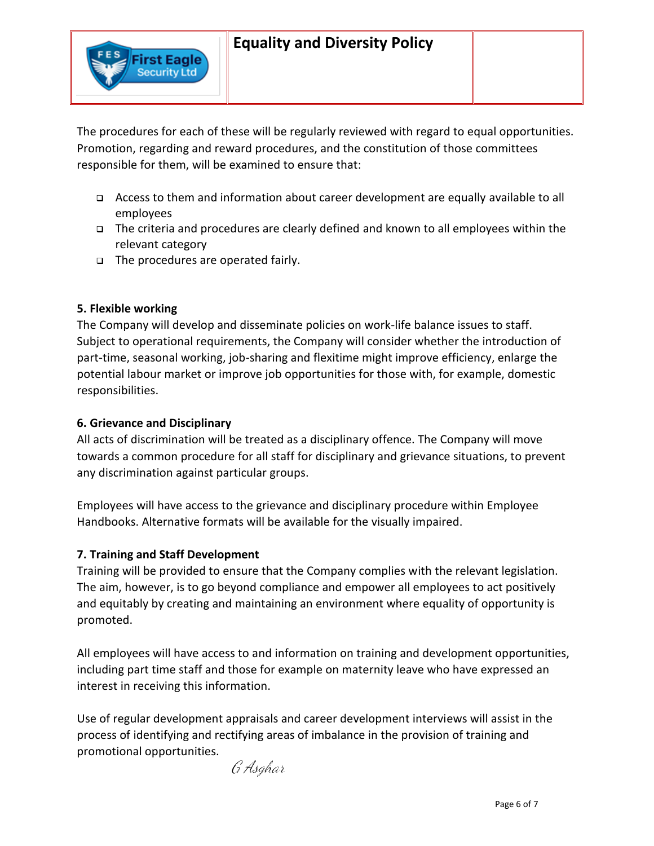The procedures for each of these will be regularly reviewed with regard to equal opportunities. Promotion, regarding and reward procedures, and the constitution of those committees responsible for them, will be examined to ensure that:

- Access to them and information about career development are equally available to all employees
- □ The criteria and procedures are clearly defined and known to all employees within the relevant category
- The procedures are operated fairly.

First Eagle **Security Ltd** 

# **5. Flexible working**

The Company will develop and disseminate policies on work-life balance issues to staff. Subject to operational requirements, the Company will consider whether the introduction of part-time, seasonal working, job-sharing and flexitime might improve efficiency, enlarge the potential labour market or improve job opportunities for those with, for example, domestic responsibilities.

### **6. Grievance and Disciplinary**

All acts of discrimination will be treated as a disciplinary offence. The Company will move towards a common procedure for all staff for disciplinary and grievance situations, to prevent any discrimination against particular groups.

Employees will have access to the grievance and disciplinary procedure within Employee Handbooks. Alternative formats will be available for the visually impaired.

# **7. Training and Staff Development**

Training will be provided to ensure that the Company complies with the relevant legislation. The aim, however, is to go beyond compliance and empower all employees to act positively and equitably by creating and maintaining an environment where equality of opportunity is promoted.

All employees will have access to and information on training and development opportunities, including part time staff and those for example on maternity leave who have expressed an interest in receiving this information.

Use of regular development appraisals and career development interviews will assist in the process of identifying and rectifying areas of imbalance in the provision of training and promotional opportunities.

G Asghar